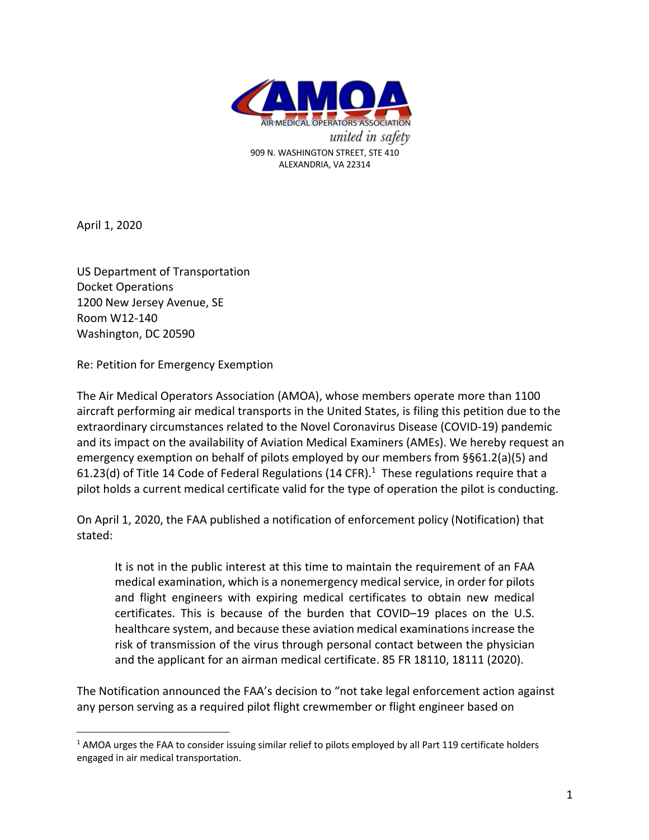

April 1, 2020

US Department of Transportation Docket Operations 1200 New Jersey Avenue, SE Room W12-140 Washington, DC 20590

Re: Petition for Emergency Exemption

The Air Medical Operators Association (AMOA), whose members operate more than 1100 aircraft performing air medical transports in the United States, is filing this petition due to the extraordinary circumstances related to the Novel Coronavirus Disease (COVID-19) pandemic and its impact on the availability of Aviation Medical Examiners (AMEs). We hereby request an emergency exemption on behalf of pilots employed by our members from §§61.2(a)(5) and 61.23(d) of Title 14 Code of Federal Regulations (14 CFR).<sup>1</sup> These regulations require that a pilot holds a current medical certificate valid for the type of operation the pilot is conducting.

On April 1, 2020, the FAA published a notification of enforcement policy (Notification) that stated:

It is not in the public interest at this time to maintain the requirement of an FAA medical examination, which is a nonemergency medical service, in order for pilots and flight engineers with expiring medical certificates to obtain new medical certificates. This is because of the burden that COVID–19 places on the U.S. healthcare system, and because these aviation medical examinations increase the risk of transmission of the virus through personal contact between the physician and the applicant for an airman medical certificate. 85 FR 18110, 18111 (2020).

The Notification announced the FAA's decision to "not take legal enforcement action against any person serving as a required pilot flight crewmember or flight engineer based on

<sup>&</sup>lt;sup>1</sup> AMOA urges the FAA to consider issuing similar relief to pilots employed by all Part 119 certificate holders engaged in air medical transportation.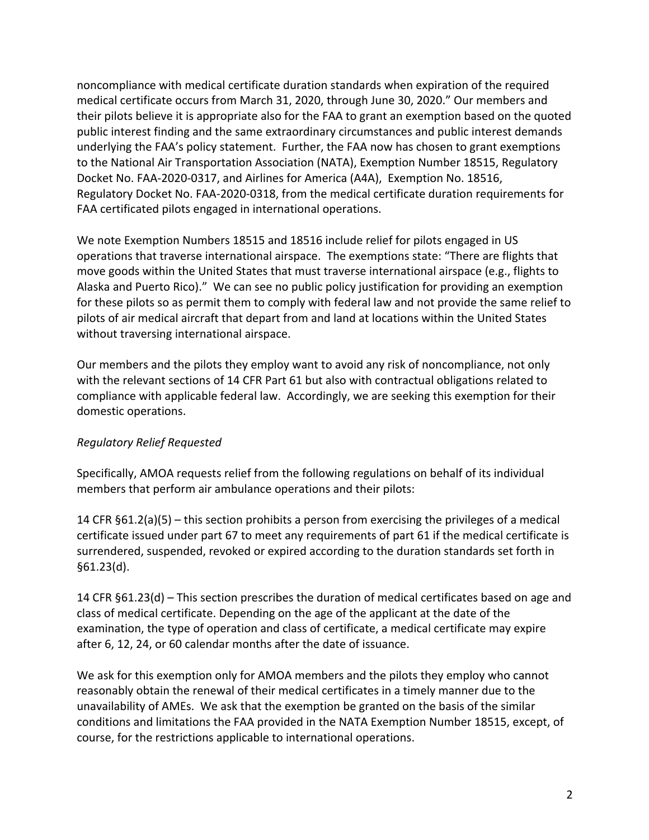noncompliance with medical certificate duration standards when expiration of the required medical certificate occurs from March 31, 2020, through June 30, 2020." Our members and their pilots believe it is appropriate also for the FAA to grant an exemption based on the quoted public interest finding and the same extraordinary circumstances and public interest demands underlying the FAA's policy statement. Further, the FAA now has chosen to grant exemptions to the National Air Transportation Association (NATA), Exemption Number 18515, Regulatory Docket No. FAA-2020-0317, and Airlines for America (A4A), Exemption No. 18516, Regulatory Docket No. FAA-2020-0318, from the medical certificate duration requirements for FAA certificated pilots engaged in international operations.

We note Exemption Numbers 18515 and 18516 include relief for pilots engaged in US operations that traverse international airspace. The exemptions state: "There are flights that move goods within the United States that must traverse international airspace (e.g., flights to Alaska and Puerto Rico)." We can see no public policy justification for providing an exemption for these pilots so as permit them to comply with federal law and not provide the same relief to pilots of air medical aircraft that depart from and land at locations within the United States without traversing international airspace.

Our members and the pilots they employ want to avoid any risk of noncompliance, not only with the relevant sections of 14 CFR Part 61 but also with contractual obligations related to compliance with applicable federal law. Accordingly, we are seeking this exemption for their domestic operations.

## *Regulatory Relief Requested*

Specifically, AMOA requests relief from the following regulations on behalf of its individual members that perform air ambulance operations and their pilots:

14 CFR §61.2(a)(5) – this section prohibits a person from exercising the privileges of a medical certificate issued under part 67 to meet any requirements of part 61 if the medical certificate is surrendered, suspended, revoked or expired according to the duration standards set forth in §61.23(d).

14 CFR §61.23(d) – This section prescribes the duration of medical certificates based on age and class of medical certificate. Depending on the age of the applicant at the date of the examination, the type of operation and class of certificate, a medical certificate may expire after 6, 12, 24, or 60 calendar months after the date of issuance.

We ask for this exemption only for AMOA members and the pilots they employ who cannot reasonably obtain the renewal of their medical certificates in a timely manner due to the unavailability of AMEs. We ask that the exemption be granted on the basis of the similar conditions and limitations the FAA provided in the NATA Exemption Number 18515, except, of course, for the restrictions applicable to international operations.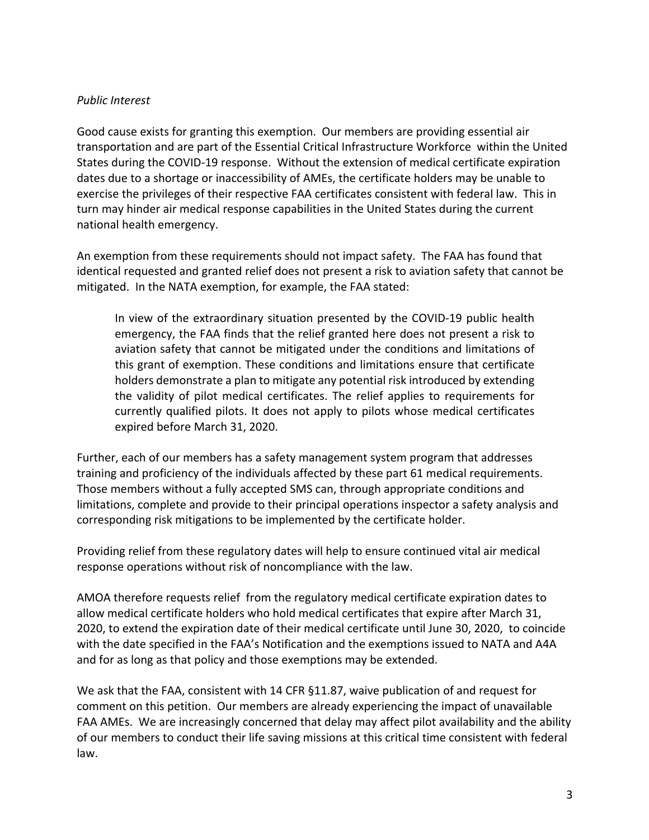## *Public Interest*

Good cause exists for granting this exemption. Our members are providing essential air transportation and are part of the Essential Critical Infrastructure Workforce within the United States during the COVID-19 response. Without the extension of medical certificate expiration dates due to a shortage or inaccessibility of AMEs, the certificate holders may be unable to exercise the privileges of their respective FAA certificates consistent with federal law. This in turn may hinder air medical response capabilities in the United States during the current national health emergency.

An exemption from these requirements should not impact safety. The FAA has found that identical requested and granted relief does not present a risk to aviation safety that cannot be mitigated. In the NATA exemption, for example, the FAA stated:

In view of the extraordinary situation presented by the COVID-19 public health emergency, the FAA finds that the relief granted here does not present a risk to aviation safety that cannot be mitigated under the conditions and limitations of this grant of exemption. These conditions and limitations ensure that certificate holders demonstrate a plan to mitigate any potential risk introduced by extending the validity of pilot medical certificates. The relief applies to requirements for currently qualified pilots. It does not apply to pilots whose medical certificates expired before March 31, 2020.

Further, each of our members has a safety management system program that addresses training and proficiency of the individuals affected by these part 61 medical requirements. Those members without a fully accepted SMS can, through appropriate conditions and limitations, complete and provide to their principal operations inspector a safety analysis and corresponding risk mitigations to be implemented by the certificate holder.

Providing relief from these regulatory dates will help to ensure continued vital air medical response operations without risk of noncompliance with the law.

AMOA therefore requests relief from the regulatory medical certificate expiration dates to allow medical certificate holders who hold medical certificates that expire after March 31, 2020, to extend the expiration date of their medical certificate until June 30, 2020, to coincide with the date specified in the FAA's Notification and the exemptions issued to NATA and A4A and for as long as that policy and those exemptions may be extended.

We ask that the FAA, consistent with 14 CFR §11.87, waive publication of and request for comment on this petition. Our members are already experiencing the impact of unavailable FAA AMEs. We are increasingly concerned that delay may affect pilot availability and the ability of our members to conduct their life saving missions at this critical time consistent with federal law.